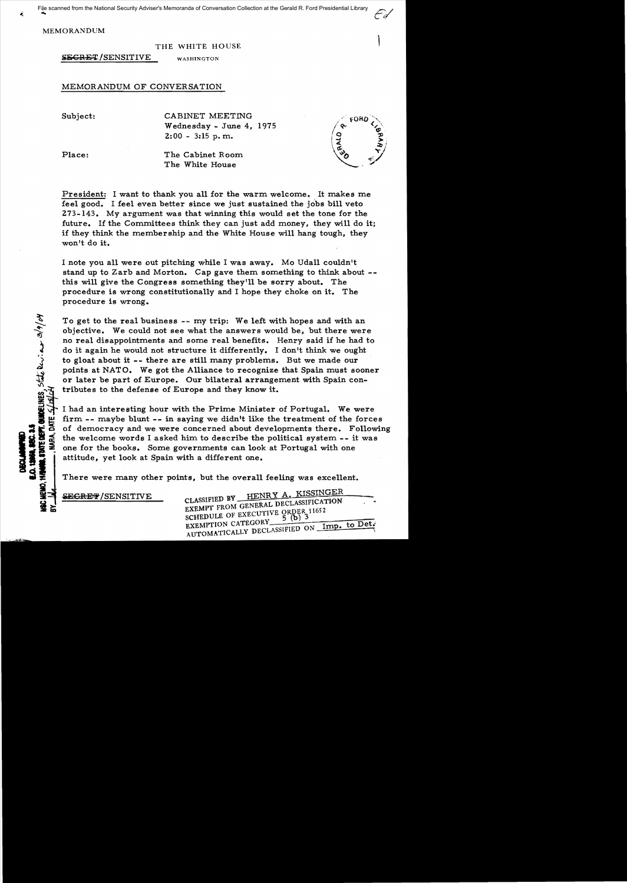MEMORANDUM

THE WHITE HOUSE

SECRET/SENSITIVE WASHINGTON

MEMORANDUM OF CONVERSATION

Subject: CABINET MEETING Wednesday - June 4,1975  $2:00 - 3:15$  p.m.

Place: The Cabinet Room The White House

ะดลก

President: I want to thank you all for the warm welcome. It makes me feel good. I feel even better since we just sustained the jobs bill veto 273-143. My argument was that winning this would set the tone for the future. If the Committees think they can just add money, they will do it; if they think the membership and the White House will hang tough, they won't do it.

I note you all were out pitching while I was away. Mo Udall couldn't stand up to Zarb and Morton. Cap gave them something to think about this will give the Congress something they'll be sorry about. The procedure is wrong constitutionally and I hope they choke on it. The procedure is wrong.

To get to the real business -- my trip: We left with hopes and with an objective. We could not see what the answers would be, but there were no real disappointments and some real benefits. Henry said if he had to do it again he would not structure it differently. I don't think we ought to gloat about it **--** there are still many problems. But we made our points at NATO. We got the Alliance to recognize that Spain must sooner or later be part of Europe. Our bilateral arrangement with Spain contributes to the defense of Europe and they know it.

 $\begin{array}{ll}\n\text{if} & \text{I had an interesting hour with the Prime Minister of Portugal.} \\
\text{if} & \text{if} & \text{if} \\
\text{if} & \text{if} & \text{if} \\
\text{if} & \text{if} & \text{if} \\
\text{if} & \text{if} & \text{if} \\
\text{if} & \text{if} & \text{if} \\
\text{if} & \text{if} & \text{if} \\
\text{if} & \text{if} & \text{if} \\
\text{if} & \text{if} & \text{if} \\
\text{if} & \text{$ <sup>~</sup>firm -- maybe blunt **--** in saying we didn't like the treatment of the forces  $\sum_{n=0}^{\infty}$  is of democracy and we were concerned about developments there. Following  $\sum_{n=0}^{\infty}$  the welcome words I asked him to describe the political system -- it was to the welcome words I asked him to describe the political system -- i<br>one for the books. Some governments can look at Portugal with one<br>distributed at Spain with a different one.<br>There were many other points, but the ove one for the books. Some governments can look at Portugal with one attitude, yet look at Spain with a different one.

There were many other points, but the overall feeling was excellent.

**I ... ABGREE AND CLASSIFIED BY HENRY A. KISSINGER**<br> **CLASSIFIED BY** HENRY A. KISSINGER SCHEDULE OF EXECUTIVE ORDER 11652<br>EXEMPTION CATEGORY EXEMPTION CATEGORY<br>AUTOMATICALLY DECLASSIFIED ON Imp. to Det.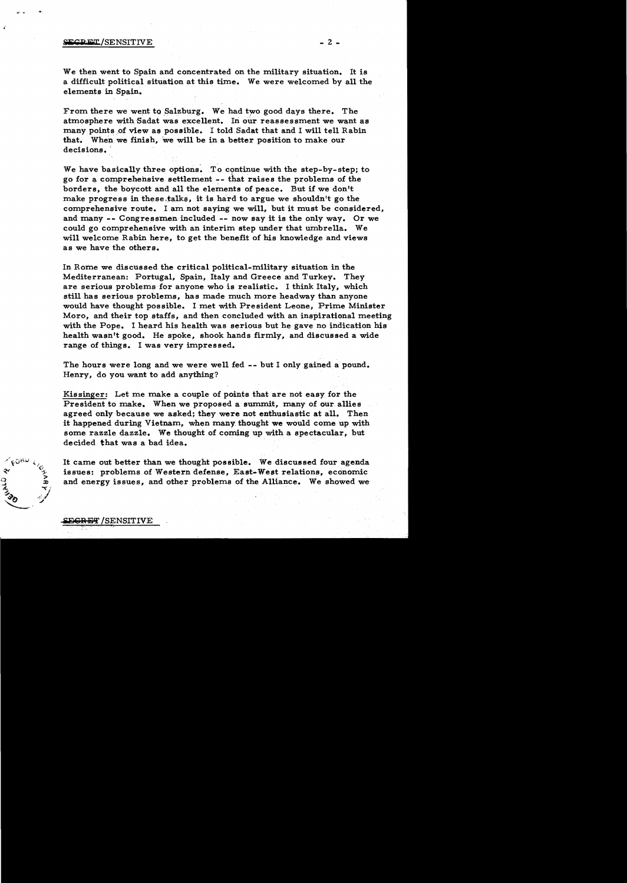## $\frac{1}{2}$  = 2 -  $\frac{1}{2}$  = 2 -  $\frac{1}{2}$  = 2 -  $\frac{1}{2}$  = 2 -

...

We then went to Spain and concentrated on the military situation. It is a difficult political situation at this time. We were welcomed by all the elements in Spain.

From there we went to Salzburg. We had two good days there. The atmosphere with Sadat was excellent. In our reassessment we want as many points of view as possible. I told Sadat that and I will tell Rabin that. When we finish, we will be in a better position to make our decisions.

We have basically three options. To continue with the step-by-step; to go for acomprehehsive settlement - - that raise s the problems of the borders, the boycott and all the elements of peace. But if we don't make progress in these, talks, it is hard to argue we shouldn't go the comprehensive route. I am not saying we will, but it must be considered, and many -- Congressmen included -- now say it is the only way. Or we could go comprehensive with an interim step under that umbrella. We will welcome Rabin here, to get the benefit of his knowledge and views as we have the others.

In Rome we discussed the critical political-military situation in the Mediterranean: Portugal, Spain, Italy and Greece and Turkey. They are serious problems for anyone who is realistic. I think Italy, which still has serious problems, has made much more headway than anyone would have thought possible. I met with President Leone, Prime Minister Moro, and their top staffs, and then concluded with an inspirational meeting with the Pope. I heard his health was serious but he gave no indication his health wasn't good. He spoke, shook hands firmly, and discussed a wide range of things. I was very impressed.

The hours were long and we were well fed -- but I only gained a pound. Henry, do you want to add anything?

Kissinger: Let me make a couple of points that are not easy for the President to make. When we proposed a summit, many of our allies agreed only because we asked; they were not enthusiastic at all. Then it happened during Vietnam, when many. thought we would come up with some razzle dazzle. We thought of coming up with a spectacular, but decided that was a bad idea.

It came out better than we thought possible. We discussed four agenda issues: problems of Western defense, East-West relations, economic and energy issues, and other problems of the Alliance. We showed we

## <del>EGRET</del> /SENSITIVE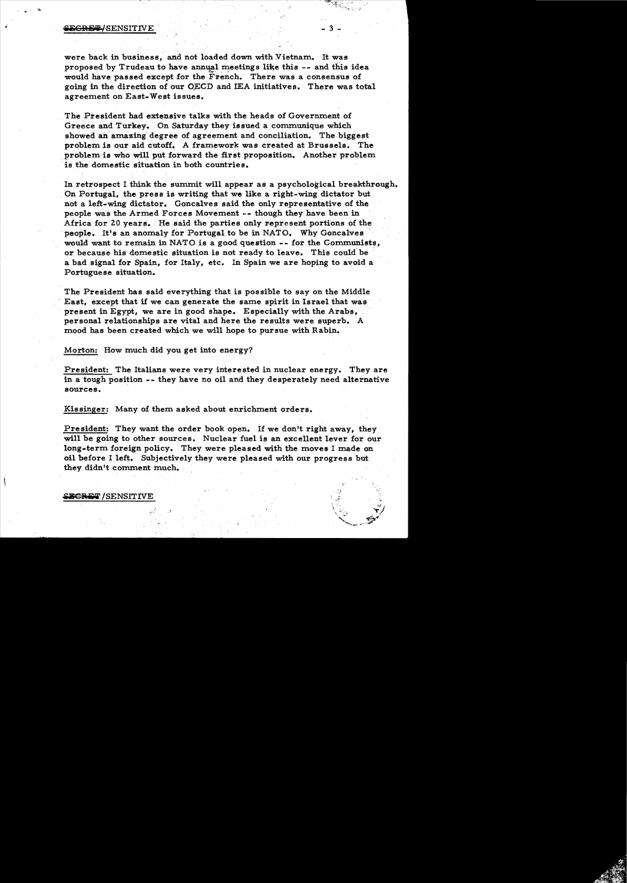## <del>ECRET/</del>SENSITIVE

*i* 

 $\cdot$   $\cdot$ 

were back in business, and not loaded down with Vietnam. It was proposed by Trudeau to have annual meetings like this -- and this idea would have passed except for the French. There was a consensus of going in the direction of our QECD and IEA initiatives. There was total agreement on East-West issues.

The President had extensive talks with the heads of Government of Greece and Turkey. On Saturday they issued a communique which showed an amazing degree of agreement and conciliation. The biggest problem *is* our aid cutoff. A framework was created at Brussels. The problem is who will put forward the first proposition. Another problem 'is the domestic situation in both countries.

In retrospect I think the summit will appear as a psychological breakthrough. On Portugal, the press is writing that we like a right-wing dictator but not a left-wing dictator. Goncalves said the only representative of the people was the Armed Forces Movement -- though they have been in Africa for 20 years. He said the parties only represent portions of the 'people. It's an anomaly for Portugal to be in NATO, Why Goncalves would want to remain in NATO is a good question -- for the Communists, or because his domestic situation is not ready to leave. This could be a bad signal for Spain, for Italy, etc. In Spain we are hoping to avoid a Portuguese situation.

The President has said everything that is possible to say on the Middle East, except that if we can generate the same spirit in Israel that was present in Egypt, we are in good shape. Especially with the Arabs, personal relationships are vital and here the results were superb. A mood has been created which we will hope to pursue with Rabin.

Morton: How much did you get into energy?

President: The Italians were very interested in nuclear energy. They are in a tough position -- they have no oil and they desperately need alternative sources.

Kissinger: Many of them asked about enrichment orders.

President: They want the order book open. If we don't right away, they will be going to other sources. Nuclear fuel is an excellent lever for our long-term foreign policy. They were pleased with the moves I made on oil before I left. Subjectively they were pleased with our progress but they didn't comment much.

B<del>CRET</del> / SENSITIVE

 $-$  3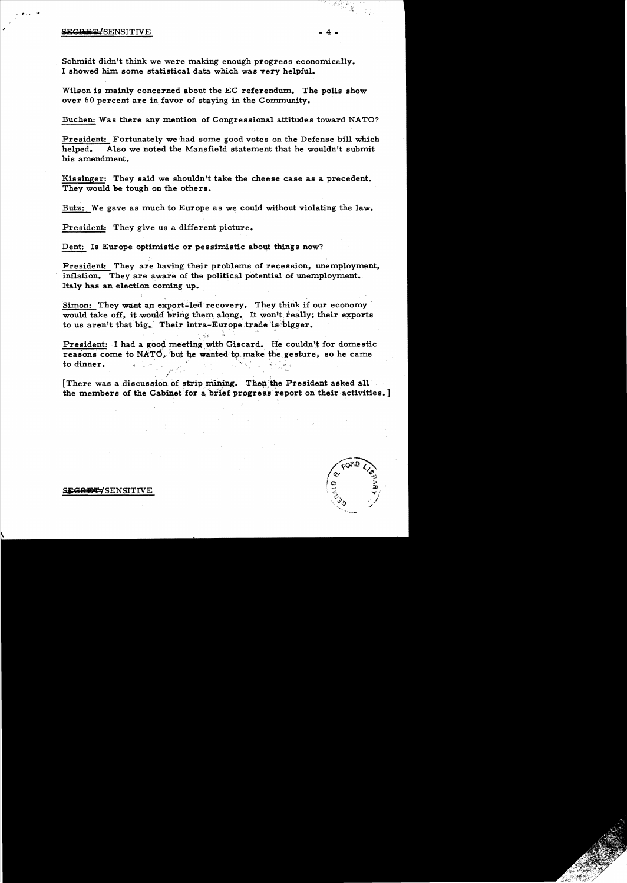## SE<del>CRET/</del>SENSITIVE

#

Schmidt didn't think we were making enough progress economically. I showed him some statistical data which was very helpful.

Wilson is mainly concerned about the EC referendum. The polls show over 60 percent are in favor of staying in the Community.

Buchen: Was there any mention of Congressional attitudes toward NATO?

President: Fortunately we'had some good votes on the Defense bill which helped. Also we noted the Mansfield statement that he wouldn't submit his amendment.

Kissinger: They said we shouldn't take the cheese case as a precedent. They would be tough on the others.

Butz: We gave as much to Europe as we could without violating the law.

President: They give us a different picture.

Dent: Is Europe optimistic or pessimistic about things now?

President: They are having their problems of recession, unemployment. inflation. They are aware of the political potential of unemployment. Italy has an election coming up.

Simon: They want an export-led recovery. They think if our economy would take off, it would bring them along. It won't really; their exports to us aren't that big. Their intra-Europe trade is bigger.

*, •••• -!o* 

President: I had a good meeting with Giscard. He couldn't for domestic reasons come to NATO, but he wanted to make the gesture, so he came to dinner.

[There was a discussion of strip mining. Then the President asked all" the members of the Cabinet for a brief progress report on their activities.]



S<del>EGRET/</del>SENSITIVE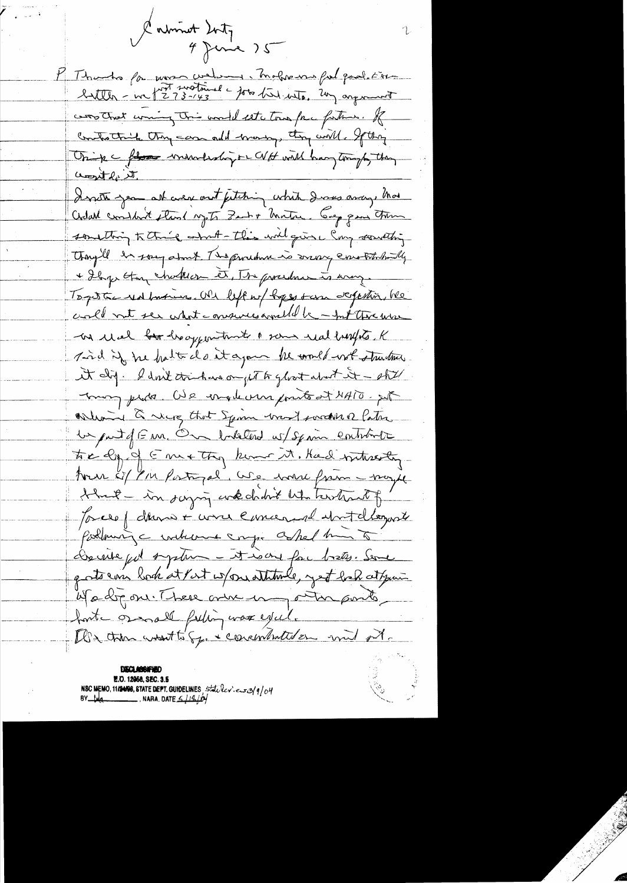Labrint 2nty<br>4 June 25 P Thanks for more water in maker une fut pod éur corrothet wing this world estation free father. If Controlling the case and many, they will. If they Onip c flore mondeshipor WH will have tonight they <u>acrostly it</u> Denote jean all aver out futuring which Derns away that Cedal constant étant syste Zant & Matar. Cap que trou something to thing on the this will give Cong something Any'll in song about The prochan is more envoltationally + Ilya Han chatter et, The procedure is any. Togette red busines. We left or byes sam defention, he coll not see what conserves and be - Int threwse - on usel for heappen time a some real buffets, K Tird if he hatted at a good the world work structure A dig. I don't trinhave on jet to gloot about it - shill mon proto. We enablement points at NATO. put What I were that Spon want worder Patre Un put of E m. On balatered w/ Spain contribute tre ly of Emethy know it. Had withresty tour les biens partiques. We were from maybe Huil - in saying we choose who hastract of Joseph dans + was emarged watchcourt Pollowing c interest crys askel him to Dernie pot system - it is one fac bretes. Serve g ats can look at Part is pour attende, yet bak at your Madronit tere one en outre points forte os nall futin was excel. De tron unsette Sy. Concentrated en und ort.

DECLANNE **E.O. 12058, SEC. 3.5** NSC MEMO, 11/2409, STATE DEPT. GUIDELINES, State lev.es3/9/04<br>BY tug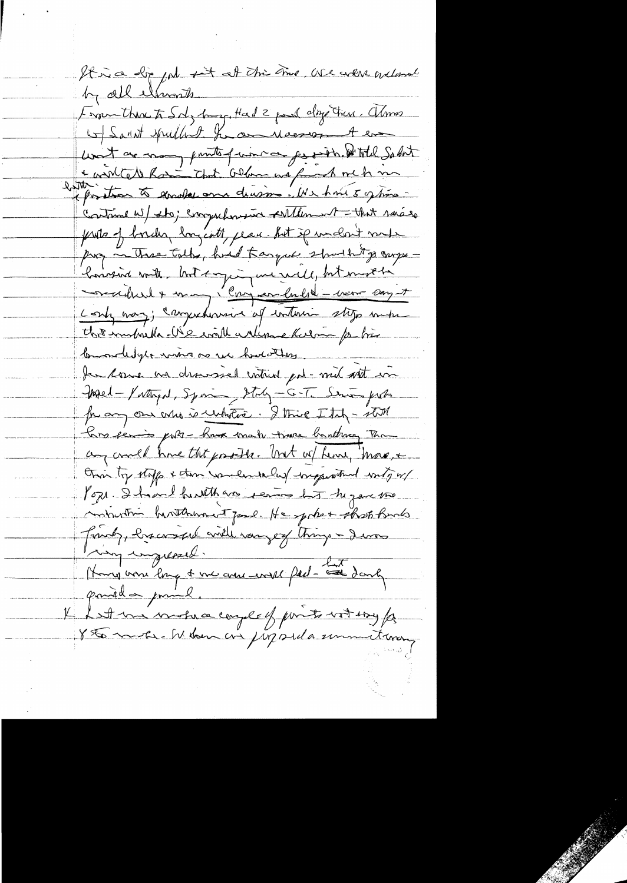It is a dip put set at the time we were unland by all elements. From there to Soly burg, Had 2 pour days true. almos to Saint Hulland for an Macropal en want are mong punts of women for partition of total Salest & with the Roin that Olan are found me to me litter than to goode and division . We have 5 of this -Containe w/ the; comprehensive seitchement - that saises puits of border longists, place but sp undert mode prop in These tolks, had Kangue should to carge bonnerin mitte brokken par mé rue le port modela Long way; carrywhenic of interior stop when this mutual Ne could arlean kulom po bien Commodelyte wing one we howeverthere. Ja come an droussel intrin pol-mil sit in Med-Victorial, Spain, Stay-G-T. Serving proba from our who is unhoters. I think I tup - still hars servis ports - have made trave banthing Than any could have that probable. Unit w/ how, "more, + Other top stoffs & then wanderdarles wegger when writing w/ Pope I hard herethans revises his tu pare two ministra hunterware Jane. He spoket that forms Jamely, les conseil aville vous est things - I was my impressed. Hungina long & une avec model ped- au dank VI et une motiva correct prints voters p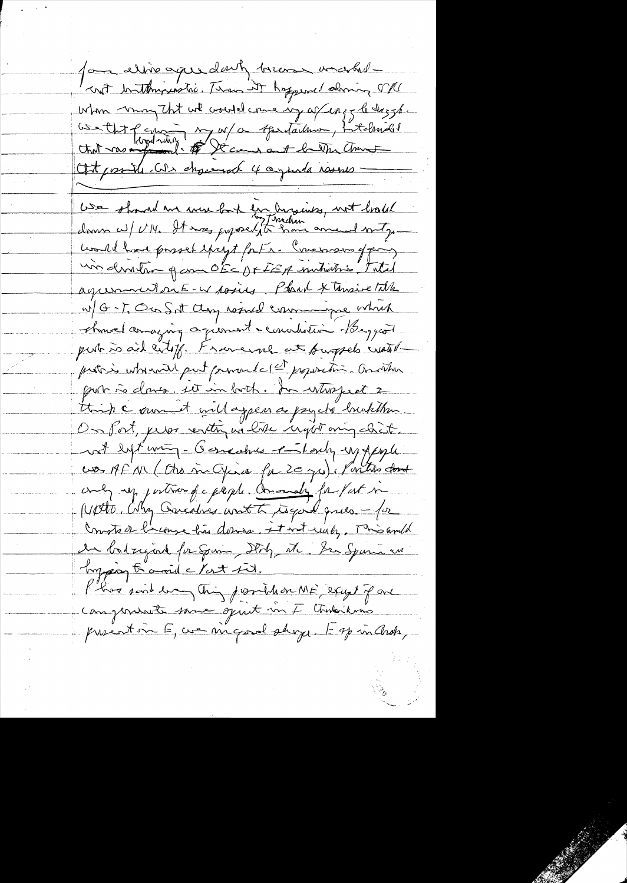for eliverage darty breeze wracked crot butthy instrict Thousand hyperic almin SVU When may that we would care my after y to dag ghe GSA that of considering my or teartailmen, intelhanded Oft possible. We chosered 4 agents would -We should we were both for Angines, not breaks donne au/ UM. It moes proposedit have anne l'arty would have passed except forts. Comes son of pay un denstem para OECUFFEA metritis, Total agreement on E-w posits, Park & tensive Title w/ G-T, Or Sat Clay result commune which chouse amazing agioment convention bonggood put is aid cityf. Franceme at purpels with probable utorisait put pourant et et proposition. Auration think comment will appear as pay the hunterban On fort, prior vertin na tite inget any chist. not bet wing-Generaties entering upperple cos AF N (Cho m Gira fr 20 ju). Portro dont andy up portioned a people. Amoundly for fact me Worte, Why Caredra write to good ques - for Consta de l'empe lui donne, et vot unely. Misambé de batzigad for Spine, Don, M. Der Spann und Ingress to anoid c last fit. Plus soit en This possible on ME except par Componente same spart un F Chineskuns prentin E, we migord shope to spiralnots,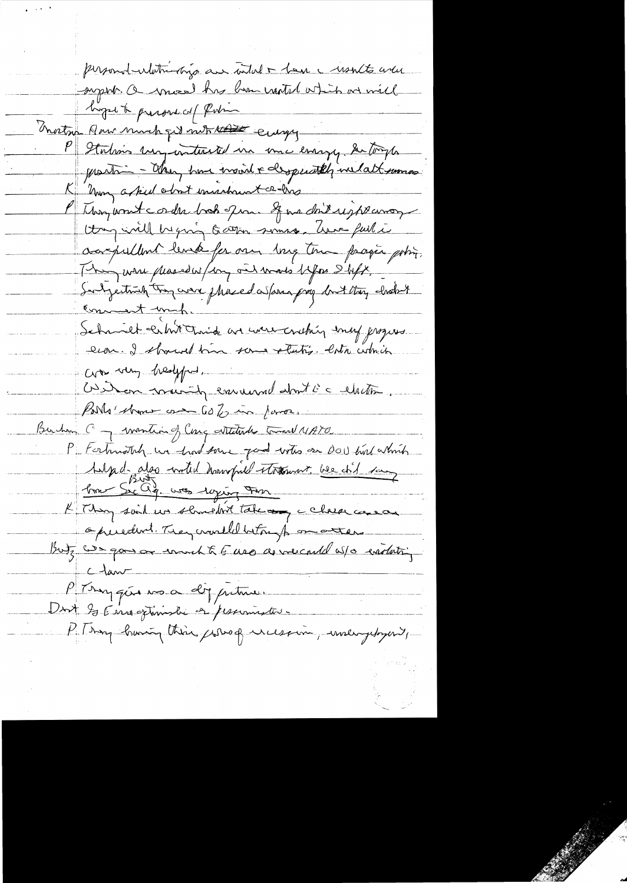personnel entitremongo au votal - la c monto avec super. Once has been wanted which are will hope to present of finding nortra Pour much qu'int tout engy P Stations un untersted un une enange de torpe provision - Chang have insint & desperatily includ tommos Non asked obout inishunt a his l'Ibon wont corder book quan que doit registemon thing will be ging to atton somes. Ame full i aarpullent level for one long tour prosper poting. This were placed w/day ont was before I before Subjection try were phased as form prog but they choost Schmichtenhit Third are were conthing emery groupes evar. I should tim some retution lata cidade Coro sorry healyful, Outras mois la convenant dont c'a chettre Borls' show one Go to in form. Burham C - wonting Cong attends toward NATO P Forhuotely un had some good with or DOI but which Sulpe d- also world hourspill throwns, we did say <u> bom Sic ag. was roying From</u> K They said us sluncht take any cheese cases opereduri. They crowlld betongto on atten But are gone or work to feel as we could us a enothing  $c$  law P Trygue was a dy pretire. Unit Is Enroginishe et personnetes. P. Bay boring this fores of incession, unlegebyent,